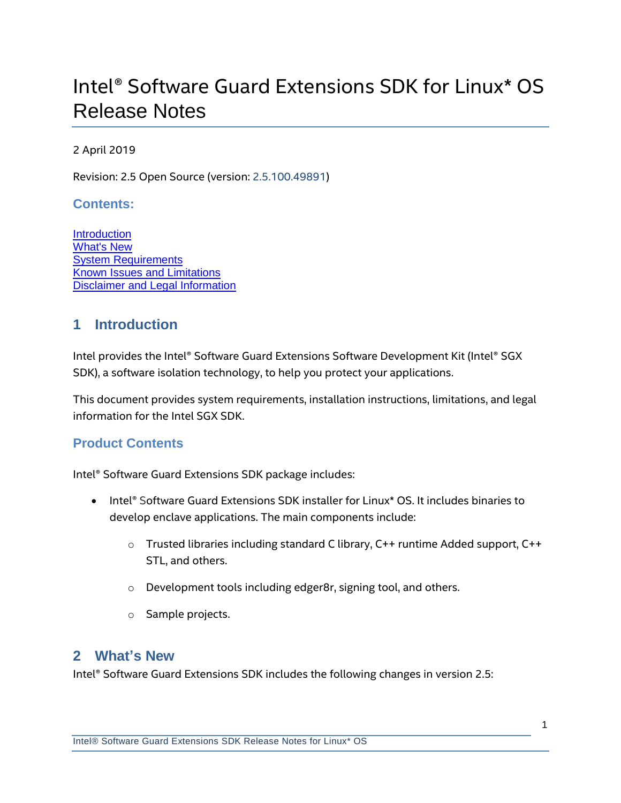# Intel® Software Guard Extensions SDK for Linux\* OS Release Notes

### 2 April 2019

Revision: 2.5 Open Source (version: 2.5.100.49891)

#### **Contents:**

**[Introduction](#page-0-0)** [What's New](#page-0-1) [System Requirements](#page-4-0) [Known Issues and Limitations](#page-4-1) [Disclaimer and Legal Information](#page-5-0)

# <span id="page-0-0"></span>**1 Introduction**

Intel provides the Intel® Software Guard Extensions Software Development Kit (Intel® SGX SDK), a software isolation technology, to help you protect your applications.

This document provides system requirements, installation instructions, limitations, and legal information for the Intel SGX SDK.

### **Product Contents**

Intel® Software Guard Extensions SDK package includes:

- Intel® Software Guard Extensions SDK installer for Linux<sup>\*</sup> OS. It includes binaries to develop enclave applications. The main components include:
	- o Trusted libraries including standard C library, C++ runtime Added support, C++ STL, and others.
	- o Development tools including edger8r, signing tool, and others.
	- o Sample projects.

### <span id="page-0-1"></span>**2 What's New**

Intel® Software Guard Extensions SDK includes the following changes in version 2.5: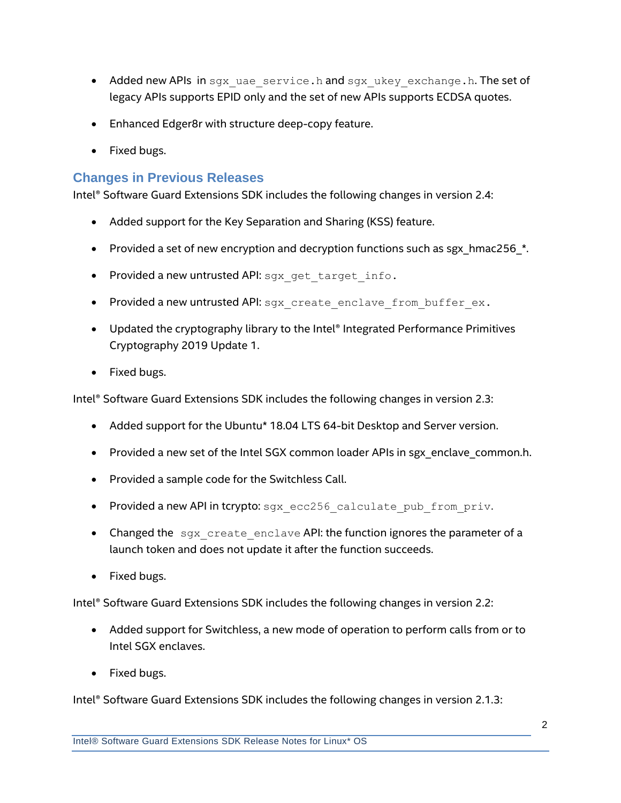- Added new APIs in sgx uae service.h and sgx ukey exchange.h. The set of legacy APIs supports EPID only and the set of new APIs supports ECDSA quotes.
- Enhanced Edger8r with structure deep-copy feature.
- Fixed bugs.

### **Changes in Previous Releases**

Intel® Software Guard Extensions SDK includes the following changes in version 2.4:

- Added support for the Key Separation and Sharing (KSS) feature.
- Provided a set of new encryption and decryption functions such as sgx\_hmac256\_\*.
- Provided a new untrusted API: sgx get target info.
- Provided a new untrusted API: sqx\_create\_enclave\_from\_buffer\_ex.
- Updated the cryptography library to the Intel® Integrated Performance Primitives Cryptography 2019 Update 1.
- Fixed bugs.

Intel® Software Guard Extensions SDK includes the following changes in version 2.3:

- Added support for the Ubuntu\* 18.04 LTS 64-bit Desktop and Server version.
- Provided a new set of the Intel SGX common loader APIs in sgx\_enclave\_common.h.
- Provided a sample code for the Switchless Call.
- Provided a new API in tcrypto: sgx ecc256 calculate pub from priv.
- Changed the  $sgx$  create enclave API: the function ignores the parameter of a launch token and does not update it after the function succeeds.
- Fixed bugs.

Intel® Software Guard Extensions SDK includes the following changes in version 2.2:

- Added support for Switchless, a new mode of operation to perform calls from or to Intel SGX enclaves.
- Fixed bugs.

Intel® Software Guard Extensions SDK includes the following changes in version 2.1.3: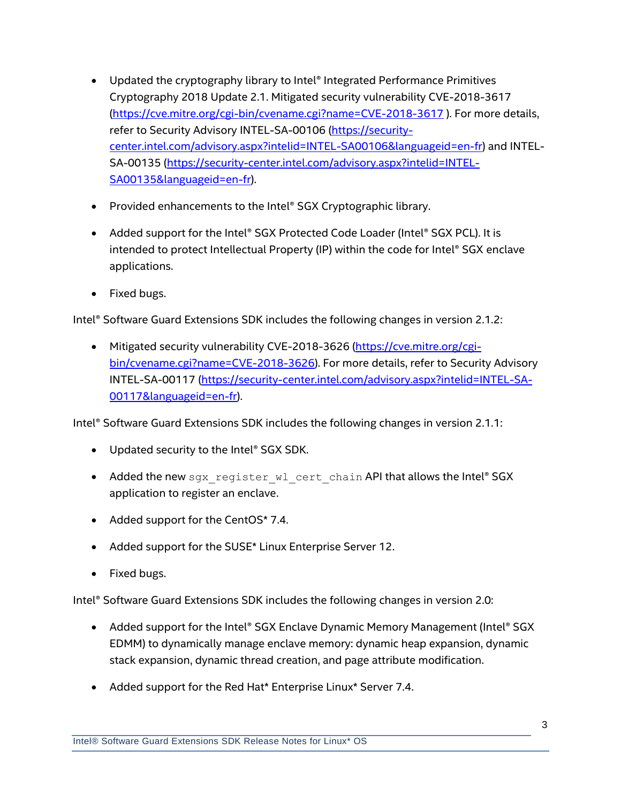- Updated the cryptography library to Intel® Integrated Performance Primitives Cryptography 2018 Update 2.1. Mitigated security vulnerability CVE-2018-3617 [\(https://cve.mitre.org/cgi-bin/cvename.cgi?name=CVE-2018-3617](https://cve.mitre.org/cgi-bin/cvename.cgi?name=CVE-2018-3617) ). For more details, refer to Security Advisory INTEL-SA-00106 [\(https://security](https://security-center.intel.com/advisory.aspx?intelid=INTEL-SA00106&languageid=en-fr)[center.intel.com/advisory.aspx?intelid=INTEL-SA00106&languageid=en-fr\)](https://security-center.intel.com/advisory.aspx?intelid=INTEL-SA00106&languageid=en-fr) and INTEL-SA-00135 [\(https://security-center.intel.com/advisory.aspx?intelid=INTEL-](https://security-center.intel.com/advisory.aspx?intelid=INTEL-SA00135&languageid=en-fr)[SA00135&languageid=en-fr\)](https://security-center.intel.com/advisory.aspx?intelid=INTEL-SA00135&languageid=en-fr).
- Provided enhancements to the Intel® SGX Cryptographic library.
- Added support for the Intel® SGX Protected Code Loader (Intel® SGX PCL). It is intended to protect Intellectual Property (IP) within the code for Intel® SGX enclave applications.
- Fixed bugs.

Intel® Software Guard Extensions SDK includes the following changes in version 2.1.2:

 Mitigated security vulnerability CVE-2018-3626 [\(https://cve.mitre.org/cgi](https://cve.mitre.org/cgi-bin/cvename.cgi?name=CVE-2018-3626)[bin/cvename.cgi?name=CVE-2018-3626\)](https://cve.mitre.org/cgi-bin/cvename.cgi?name=CVE-2018-3626). For more details, refer to Security Advisory INTEL-SA-00117 [\(https://security-center.intel.com/advisory.aspx?intelid=INTEL-SA-](https://security-center.intel.com/advisory.aspx?intelid=INTEL-SA-00117&languageid=en-fr)[00117&languageid=en-fr\)](https://security-center.intel.com/advisory.aspx?intelid=INTEL-SA-00117&languageid=en-fr).

Intel® Software Guard Extensions SDK includes the following changes in version 2.1.1:

- Updated security to the Intel® SGX SDK.
- Added the new sgx register wl cert chain API that allows the Intel® SGX application to register an enclave.
- Added support for the CentOS\* 7.4.
- Added support for the SUSE\* Linux Enterprise Server 12.
- Fixed bugs.

Intel® Software Guard Extensions SDK includes the following changes in version 2.0:

- Added support for the Intel® SGX Enclave Dynamic Memory Management (Intel® SGX EDMM) to dynamically manage enclave memory: dynamic heap expansion, dynamic stack expansion, dynamic thread creation, and page attribute modification.
- Added support for the Red Hat\* Enterprise Linux\* Server 7.4.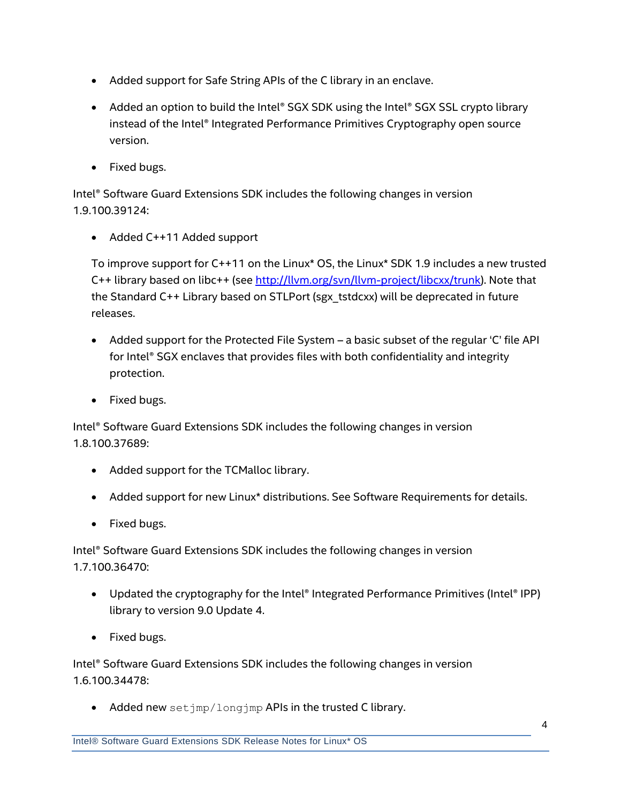- Added support for Safe String APIs of the C library in an enclave.
- Added an option to build the Intel® SGX SDK using the Intel® SGX SSL crypto library instead of the Intel® Integrated Performance Primitives Cryptography open source version.
- Fixed bugs.

Intel® Software Guard Extensions SDK includes the following changes in version 1.9.100.39124:

Added C++11 Added support

To improve support for C++11 on the Linux\* OS, the Linux\* SDK 1.9 includes a new trusted C++ library based on libc++ (see [http://llvm.org/svn/llvm-project/libcxx/trunk\)](http://llvm.org/svn/llvm-project/libcxx/trunk). Note that the Standard C++ Library based on STLPort (sgx\_tstdcxx) will be deprecated in future releases.

- Added support for the Protected File System a basic subset of the regular 'C' file API for Intel® SGX enclaves that provides files with both confidentiality and integrity protection.
- Fixed bugs.

Intel® Software Guard Extensions SDK includes the following changes in version 1.8.100.37689:

- Added support for the TCMalloc library.
- Added support for new Linux\* distributions. See [Software Requirements](#page-4-2) for details.
- Fixed bugs.

Intel® Software Guard Extensions SDK includes the following changes in version 1.7.100.36470:

- Updated the cryptography for the Intel® Integrated Performance Primitives (Intel® IPP) library to version 9.0 Update 4.
- Fixed bugs.

Intel® Software Guard Extensions SDK includes the following changes in version 1.6.100.34478:

• Added new setjmp/longjmp APIs in the trusted C library.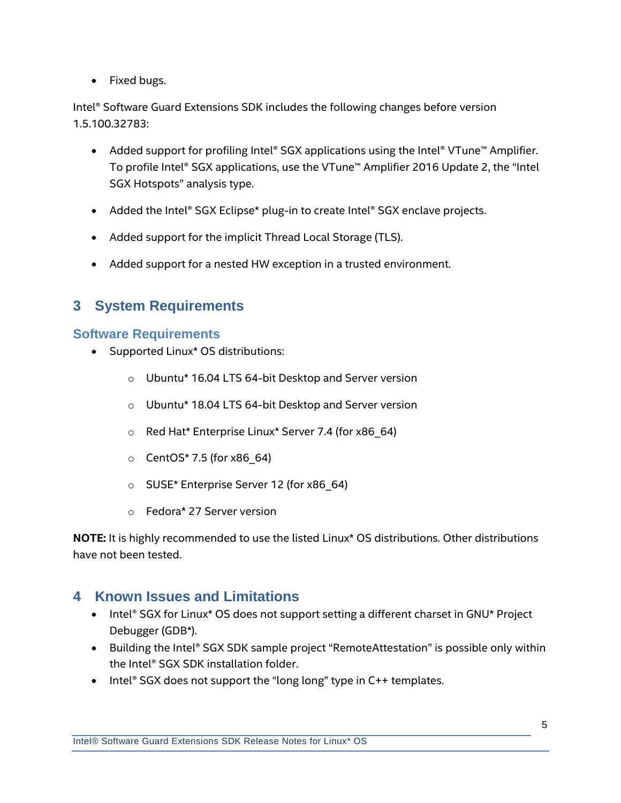• Fixed bugs.

Intel® Software Guard Extensions SDK includes the following changes before version 1.5.100.32783:

- Added support for profiling Intel® SGX applications using the Intel® VTune™ Amplifier. To profile Intel® SGX applications, use the VTune™ Amplifier 2016 Update 2, the "Intel SGX Hotspots" analysis type.
- Added the Intel® SGX Eclipse\* plug-in to create Intel® SGX enclave projects.
- Added support for the implicit Thread Local Storage (TLS).
- Added support for a nested HW exception in a trusted environment.

# <span id="page-4-0"></span>**3 System Requirements**

### <span id="page-4-2"></span>**Software Requirements**

- Supported Linux\* OS distributions:
	- o Ubuntu\* 16.04 LTS 64-bit Desktop and Server version
	- o Ubuntu\* 18.04 LTS 64-bit Desktop and Server version
	- o Red Hat\* Enterprise Linux\* Server 7.4 (for x86\_64)
	- $\circ$  CentOS\* 7.5 (for x86 64)
	- o SUSE\* Enterprise Server 12 (for x86\_64)
	- o Fedora\* 27 Server version

**NOTE:** It is highly recommended to use the listed Linux\* OS distributions. Other distributions have not been tested.

# <span id="page-4-1"></span>**4 Known Issues and Limitations**

- Intel® SGX for Linux\* OS does not support setting a different charset in GNU\* Project Debugger (GDB\*).
- Building the Intel® SGX SDK sample project "RemoteAttestation" is possible only within the Intel® SGX SDK installation folder.
- $\bullet$  Intel® SGX does not support the "long long" type in C++ templates.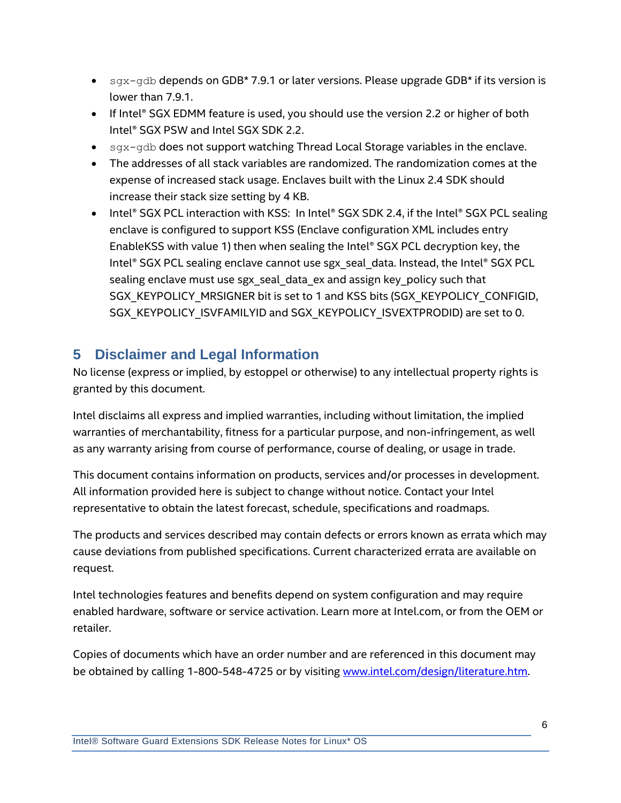- $\sigma$  sgx-gdb depends on GDB\* 7.9.1 or later versions. Please upgrade GDB\* if its version is lower than 7.9.1.
- If Intel® SGX EDMM feature is used, you should use the version 2.2 or higher of both Intel® SGX PSW and Intel SGX SDK 2.2.
- $\bullet$  sgx-gdb does not support watching Thread Local Storage variables in the enclave.
- The addresses of all stack variables are randomized. The randomization comes at the expense of increased stack usage. Enclaves built with the Linux 2.4 SDK should increase their stack size setting by 4 KB.
- Intel® SGX PCL interaction with KSS: In Intel® SGX SDK 2.4, if the Intel® SGX PCL sealing enclave is configured to support KSS (Enclave configuration XML includes entry EnableKSS with value 1) then when sealing the Intel® SGX PCL decryption key, the Intel® SGX PCL sealing enclave cannot use sgx seal data. Instead, the Intel® SGX PCL sealing enclave must use sgx\_seal\_data\_ex and assign key\_policy such that SGX\_KEYPOLICY\_MRSIGNER bit is set to 1 and KSS bits (SGX\_KEYPOLICY\_CONFIGID, SGX\_KEYPOLICY\_ISVFAMILYID and SGX\_KEYPOLICY\_ISVEXTPRODID) are set to 0.

# <span id="page-5-0"></span>**5 Disclaimer and Legal Information**

No license (express or implied, by estoppel or otherwise) to any intellectual property rights is granted by this document.

Intel disclaims all express and implied warranties, including without limitation, the implied warranties of merchantability, fitness for a particular purpose, and non-infringement, as well as any warranty arising from course of performance, course of dealing, or usage in trade.

This document contains information on products, services and/or processes in development. All information provided here is subject to change without notice. Contact your Intel representative to obtain the latest forecast, schedule, specifications and roadmaps.

The products and services described may contain defects or errors known as errata which may cause deviations from published specifications. Current characterized errata are available on request.

Intel technologies features and benefits depend on system configuration and may require enabled hardware, software or service activation. Learn more at Intel.com, or from the OEM or retailer.

Copies of documents which have an order number and are referenced in this document may be obtained by calling 1-800-548-4725 or by visiting [www.intel.com/design/literature.htm.](http://www.intel.com/design/literature.htm)